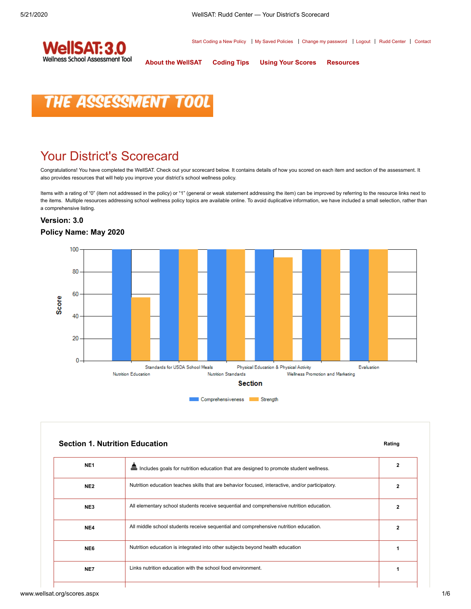Start Coding a New Policy | My Saved Policies | [Change my password](http://www.wellsat.org/change_password.aspx) | [Logout](http://www.wellsat.org/logout.aspx) | [Rudd Center](http://uconnruddcenter.org/) | [Contact](http://www.wellsat.org/contact.aspx)



**[About the WellSAT](http://www.wellsat.org/about_the_WellSAT.aspx) [Coding Tips](http://www.wellsat.org/coding_tips.aspx) [Using Your Scores](http://www.wellsat.org/using_your_scores.aspx) [Resources](http://www.wellsat.org/resources.aspx)**

# **THE ASSESSMENT TOO**

## Your District's Scorecard

Congratulations! You have completed the WellSAT. Check out your scorecard below. It contains details of how you scored on each item and section of the assessment. It also provides resources that will help you improve your district's school wellness policy.

Items with a rating of "0" (item not addressed in the policy) or "1" (general or weak statement addressing the item) can be improved by referring to the resource links next to the items. Multiple resources addressing school wellness policy topics are available online. To avoid duplicative information, we have included a small selection, rather than a comprehensive listing.

#### **Version: 3.0 Policy Name: May 2020**



|                 | <b>Section 1. Nutrition Education</b>                                                            | Rating         |
|-----------------|--------------------------------------------------------------------------------------------------|----------------|
| NE <sub>1</sub> | ▦<br>Includes goals for nutrition education that are designed to promote student wellness.       | 2              |
| NE <sub>2</sub> | Nutrition education teaches skills that are behavior focused, interactive, and/or participatory. | 2              |
| NE3             | All elementary school students receive sequential and comprehensive nutrition education.         | $\overline{2}$ |
| NE4             | All middle school students receive sequential and comprehensive nutrition education.             | $\overline{2}$ |
| NE6             | Nutrition education is integrated into other subjects beyond health education                    |                |
| NE7             | Links nutrition education with the school food environment.                                      |                |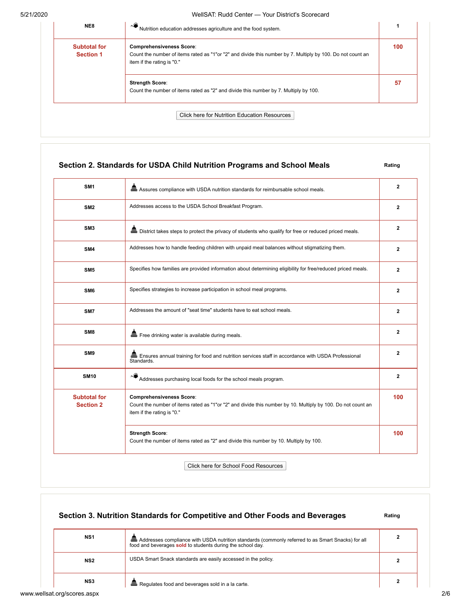#### 5/21/2020 WellSAT: Rudd Center — Your District's Scorecard

| NE8                                     | ∼€<br>Nutrition education addresses agriculture and the food system.                                                                                                        |     |
|-----------------------------------------|-----------------------------------------------------------------------------------------------------------------------------------------------------------------------------|-----|
| <b>Subtotal for</b><br><b>Section 1</b> | <b>Comprehensiveness Score:</b><br>Count the number of items rated as "1"or "2" and divide this number by 7. Multiply by 100. Do not count an<br>item if the rating is "0." | 100 |
|                                         | <b>Strength Score:</b><br>Count the number of items rated as "2" and divide this number by 7. Multiply by 100.                                                              | 57  |
|                                         | <b>Click here for Nutrition Education Resources</b>                                                                                                                         |     |

### **Section 2. Standards for USDA Child Nutrition Programs and School Meals Rating Rating**

| SM <sub>1</sub>                         | as Assures compliance with USDA nutrition standards for reimbursable school meals.                                                                                           | $\mathbf{2}$   |
|-----------------------------------------|------------------------------------------------------------------------------------------------------------------------------------------------------------------------------|----------------|
| SM <sub>2</sub>                         | Addresses access to the USDA School Breakfast Program.                                                                                                                       | $\mathbf{2}$   |
| SM <sub>3</sub>                         |                                                                                                                                                                              | $\mathbf{2}$   |
| SM4                                     | Addresses how to handle feeding children with unpaid meal balances without stigmatizing them.                                                                                | $\overline{2}$ |
| SM <sub>5</sub>                         | Specifies how families are provided information about determining eligibility for free/reduced priced meals.                                                                 | $\overline{2}$ |
| SM <sub>6</sub>                         | Specifies strategies to increase participation in school meal programs.                                                                                                      | $\mathbf{2}$   |
| SM7                                     | Addresses the amount of "seat time" students have to eat school meals.                                                                                                       | $\mathbf{2}$   |
| SM <sub>8</sub>                         | Free drinking water is available during meals.                                                                                                                               | $\mathbf{2}$   |
| SM <sub>9</sub>                         | ■ Ensures annual training for food and nutrition services staff in accordance with USDA Professional<br>Standards.                                                           | $\mathbf{2}$   |
| <b>SM10</b>                             | Addresses purchasing local foods for the school meals program.                                                                                                               | $\mathbf{2}$   |
| <b>Subtotal for</b><br><b>Section 2</b> | <b>Comprehensiveness Score:</b><br>Count the number of items rated as "1"or "2" and divide this number by 10. Multiply by 100. Do not count an<br>item if the rating is "0." | 100            |
|                                         | <b>Strength Score:</b><br>Count the number of items rated as "2" and divide this number by 10. Multiply by 100.                                                              | 100            |

Click here for School Food Resources

|                             | Section 3. Nutrition Standards for Competitive and Other Foods and Beverages                                                                                      |  |
|-----------------------------|-------------------------------------------------------------------------------------------------------------------------------------------------------------------|--|
| NS1                         | ■ Addresses compliance with USDA nutrition standards (commonly referred to as Smart Snacks) for all<br>food and beverages sold to students during the school day. |  |
| NS2                         | USDA Smart Snack standards are easily accessed in the policy.                                                                                                     |  |
| NS3                         | Em Regulates food and beverages sold in a la carte.                                                                                                               |  |
| www.wellsat.org/scores.aspx |                                                                                                                                                                   |  |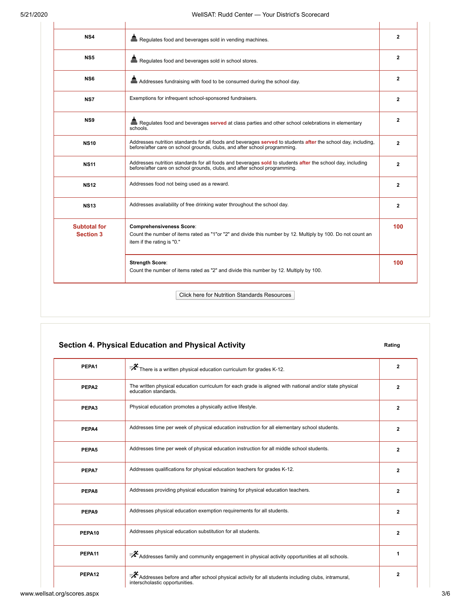| NS4                                     | Regulates food and beverages sold in vending machines.                                                                                                                                     | $\mathbf{2}$   |
|-----------------------------------------|--------------------------------------------------------------------------------------------------------------------------------------------------------------------------------------------|----------------|
| NS <sub>5</sub>                         | Regulates food and beverages sold in school stores.                                                                                                                                        | $\mathbf{2}$   |
| NS <sub>6</sub>                         | and Addresses fundraising with food to be consumed during the school day.                                                                                                                  | $\overline{2}$ |
| NS7                                     | Exemptions for infrequent school-sponsored fundraisers.                                                                                                                                    | $\mathbf{2}$   |
| NS9                                     | <b>品</b> Regulates food and beverages served at class parties and other school celebrations in elementary<br>schools.                                                                      | $\overline{2}$ |
| <b>NS10</b>                             | Addresses nutrition standards for all foods and beverages served to students after the school day, including,<br>before/after care on school grounds, clubs, and after school programming. | $\mathbf{2}$   |
| <b>NS11</b>                             | Addresses nutrition standards for all foods and beverages sold to students after the school day, including<br>before/after care on school grounds, clubs, and after school programming.    | $\overline{2}$ |
| <b>NS12</b>                             | Addresses food not being used as a reward.                                                                                                                                                 | $\mathbf{2}$   |
| <b>NS13</b>                             | Addresses availability of free drinking water throughout the school day.                                                                                                                   | $\mathbf{2}$   |
| <b>Subtotal for</b><br><b>Section 3</b> | <b>Comprehensiveness Score:</b><br>Count the number of items rated as "1"or "2" and divide this number by 12. Multiply by 100. Do not count an<br>item if the rating is "0."               | 100            |
|                                         | <b>Strength Score:</b><br>Count the number of items rated as "2" and divide this number by 12. Multiply by 100.                                                                            | 100            |

## **Section 4. Physical Education and Physical Activity <b>Rating** Rating

| PEPA1             | $\mathbb{R}^2$ There is a written physical education curriculum for grades K-12.                                                                        | $\mathbf{2}$   |
|-------------------|---------------------------------------------------------------------------------------------------------------------------------------------------------|----------------|
| PEPA <sub>2</sub> | The written physical education curriculum for each grade is aligned with national and/or state physical<br>education standards.                         | $\overline{2}$ |
| PEPA3             | Physical education promotes a physically active lifestyle.                                                                                              | $\mathbf{2}$   |
| PEPA4             | Addresses time per week of physical education instruction for all elementary school students.                                                           | $\overline{2}$ |
| PEPA5             | Addresses time per week of physical education instruction for all middle school students.                                                               | $\mathbf{2}$   |
| PEPA7             | Addresses qualifications for physical education teachers for grades K-12.                                                                               | $\mathbf{2}$   |
| PEPA8             | Addresses providing physical education training for physical education teachers.                                                                        | $\overline{2}$ |
| PEPA <sub>9</sub> | Addresses physical education exemption requirements for all students.                                                                                   | $\overline{2}$ |
| PEPA10            | Addresses physical education substitution for all students.                                                                                             | $\mathbf{2}$   |
| PEPA11            | $\bar{\mathscr{F}}$ Addresses family and community engagement in physical activity opportunities at all schools.                                        | 1              |
| PEPA12            | $\bar{\mathscr{F}}$ Addresses before and after school physical activity for all students including clubs, intramural,<br>interscholastic opportunities. | $\overline{2}$ |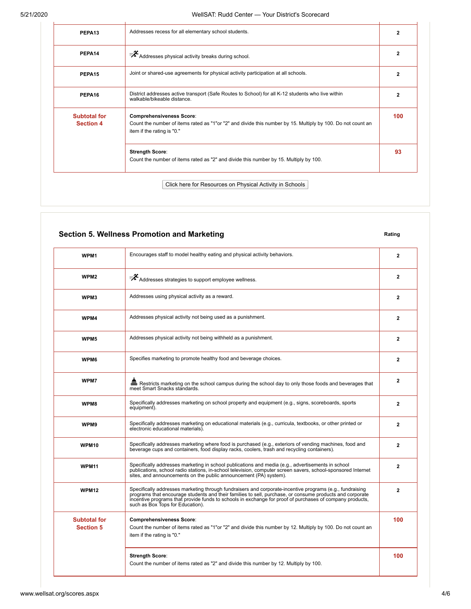| PEPA <sub>13</sub>               | Addresses recess for all elementary school students.                                                                                                                         | $\overline{2}$ |
|----------------------------------|------------------------------------------------------------------------------------------------------------------------------------------------------------------------------|----------------|
| PEPA14                           | $\mathbb{R}^2$ Addresses physical activity breaks during school.                                                                                                             | $\overline{2}$ |
| PEPA <sub>15</sub>               | Joint or shared-use agreements for physical activity participation at all schools.                                                                                           | $\overline{2}$ |
| PEPA16                           | District addresses active transport (Safe Routes to School) for all K-12 students who live within<br>walkable/bikeable distance.                                             | $\overline{2}$ |
| Subtotal for<br><b>Section 4</b> | <b>Comprehensiveness Score:</b><br>Count the number of items rated as "1"or "2" and divide this number by 15. Multiply by 100. Do not count an<br>item if the rating is "0." | 100            |
|                                  | <b>Strength Score:</b><br>Count the number of items rated as "2" and divide this number by 15. Multiply by 100.                                                              | 93             |

### **Section 5. Wellness Promotion and Marketing Rating Rating Rating**

| WPM1                                    | Encourages staff to model healthy eating and physical activity behaviors.                                                                                                                                                                                                                                                                                            | $\overline{2}$ |
|-----------------------------------------|----------------------------------------------------------------------------------------------------------------------------------------------------------------------------------------------------------------------------------------------------------------------------------------------------------------------------------------------------------------------|----------------|
| WPM <sub>2</sub>                        | Addresses strategies to support employee wellness.                                                                                                                                                                                                                                                                                                                   | $\overline{2}$ |
| WPM3                                    | Addresses using physical activity as a reward.                                                                                                                                                                                                                                                                                                                       | $\overline{2}$ |
| WPM4                                    | Addresses physical activity not being used as a punishment.                                                                                                                                                                                                                                                                                                          | $\overline{2}$ |
| WPM5                                    | Addresses physical activity not being withheld as a punishment.                                                                                                                                                                                                                                                                                                      | $\overline{2}$ |
| WPM6                                    | Specifies marketing to promote healthy food and beverage choices.                                                                                                                                                                                                                                                                                                    | $\overline{2}$ |
| WPM7                                    | Restricts marketing on the school campus during the school day to only those foods and beverages that<br>meet Smart Snacks standards.                                                                                                                                                                                                                                | $\mathbf{2}$   |
| WPM8                                    | Specifically addresses marketing on school property and equipment (e.g., signs, scoreboards, sports<br>equipment).                                                                                                                                                                                                                                                   | $\overline{2}$ |
| WPM9                                    | Specifically addresses marketing on educational materials (e.g., curricula, textbooks, or other printed or<br>electronic educational materials).                                                                                                                                                                                                                     | $\mathbf{2}$   |
| WPM10                                   | Specifically addresses marketing where food is purchased (e.g., exteriors of vending machines, food and<br>beverage cups and containers, food display racks, coolers, trash and recycling containers).                                                                                                                                                               | $\overline{2}$ |
| <b>WPM11</b>                            | Specifically addresses marketing in school publications and media (e.g., advertisements in school<br>publications, school radio stations, in-school television, computer screen savers, school-sponsored Internet<br>sites, and announcements on the public announcement (PA) system).                                                                               | $\overline{2}$ |
| <b>WPM12</b>                            | Specifically addresses marketing through fundraisers and corporate-incentive programs (e.g., fundraising<br>programs that encourage students and their families to sell, purchase, or consume products and corporate<br>incentive programs that provide funds to schools in exchange for proof of purchases of company products,<br>such as Box Tops for Education). | $\overline{2}$ |
| <b>Subtotal for</b><br><b>Section 5</b> | <b>Comprehensiveness Score:</b><br>Count the number of items rated as "1"or "2" and divide this number by 12. Multiply by 100. Do not count an<br>item if the rating is "0."                                                                                                                                                                                         | 100            |
|                                         | <b>Strength Score:</b><br>Count the number of items rated as "2" and divide this number by 12. Multiply by 100.                                                                                                                                                                                                                                                      | 100            |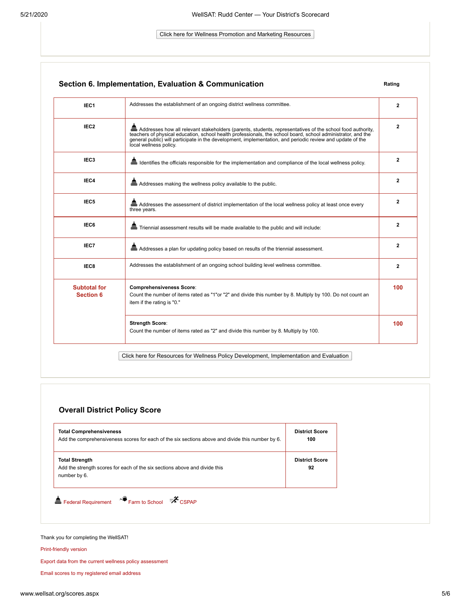#### Click here for Wellness Promotion and Marketing Resources

| IEC <sub>1</sub>                        | Addresses the establishment of an ongoing district wellness committee.                                                                                                                                                                                                                                                                                                | $\overline{2}$ |
|-----------------------------------------|-----------------------------------------------------------------------------------------------------------------------------------------------------------------------------------------------------------------------------------------------------------------------------------------------------------------------------------------------------------------------|----------------|
| IEC <sub>2</sub>                        | and Addresses how all relevant stakeholders (parents, students, representatives of the school food authority,<br>teachers of physical education, school health professionals, the school board, school administrator, and the<br>general public) will participate in the development, implementation, and periodic review and update of the<br>local wellness policy. | $\overline{2}$ |
| IEC <sub>3</sub>                        | and Identifies the officials responsible for the implementation and compliance of the local wellness policy.                                                                                                                                                                                                                                                          | $\overline{2}$ |
| IEC4                                    | Em Addresses making the wellness policy available to the public.                                                                                                                                                                                                                                                                                                      | $\overline{2}$ |
| IEC <sub>5</sub>                        | man Addresses the assessment of district implementation of the local wellness policy at least once every<br>three years.                                                                                                                                                                                                                                              | $\mathbf{2}$   |
| IEC6                                    | en Triennial assessment results will be made available to the public and will include:                                                                                                                                                                                                                                                                                | $\mathbf{2}$   |
| IEC7                                    | Em Addresses a plan for updating policy based on results of the triennial assessment.                                                                                                                                                                                                                                                                                 | $\mathbf{2}$   |
| IEC8                                    | Addresses the establishment of an ongoing school building level wellness committee.                                                                                                                                                                                                                                                                                   | $\mathbf{2}$   |
| <b>Subtotal for</b><br><b>Section 6</b> | <b>Comprehensiveness Score:</b><br>Count the number of items rated as "1"or "2" and divide this number by 8. Multiply by 100. Do not count an<br>item if the rating is "0."                                                                                                                                                                                           | 100            |
|                                         | <b>Strength Score:</b><br>Count the number of items rated as "2" and divide this number by 8. Multiply by 100.                                                                                                                                                                                                                                                        | 100            |

#### **Overall District Policy Score**

| <b>Total Comprehensiveness</b><br>Add the comprehensiveness scores for each of the six sections above and divide this number by 6. |                             |
|------------------------------------------------------------------------------------------------------------------------------------|-----------------------------|
| <b>Total Strength</b><br>Add the strength scores for each of the six sections above and divide this<br>number by 6.                | <b>District Score</b><br>92 |

#### Thank you for completing the WellSAT!

[Print-friendly version](http://www.wellsat.org/scores_print_friendly.aspx)

[Export data from the current wellness policy assessment](javascript:__doPostBack()

[Email scores to my registered email address](javascript:__doPostBack()